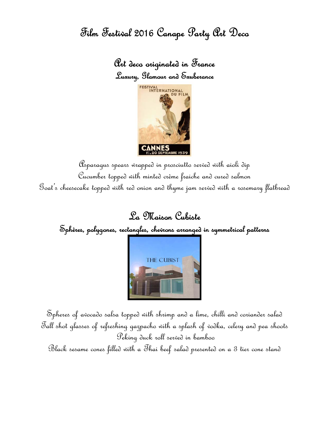Film Festival 2016 Canape Party Art Deco

Art deco originated in France Luxury, Glamour and Exuberance



Asparagus spears wrapped in prosciutto served with aioli dip Cucumber topped with minted crème fraiche and cured salmon Goat's cheesecake topped with red onion and thyme jam served with a rosemary flatbread

La Maison Cubiste

Sphères, polygones, rectangles, chevrons arranged in symmetrical patterns



Spheres of avocado salsa topped with shrimp and a lime, chilli and coriander salad Tall shot glasses of refreshing gazpacho with a splash of vodka, celery and pea shoots Peking duck roll served in bamboo

Black sesame cones filled with a Thai beef salad presented on a 3 tier cone stand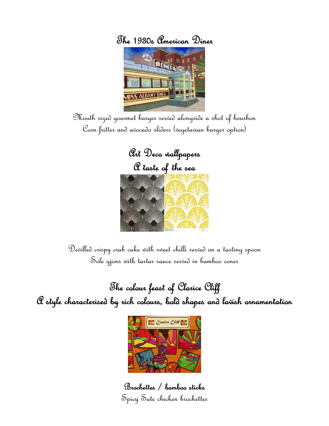



Mouth sized gourmet burger served alongside a shot of bourbon Corn fritter and avocado sliders (vegetarian burger option)



Devilled crispy crab cake with sweet chilli served on a tasting spoon Sole gjons with tartar sauce served in bamboo cones

The colour feast of Clarice Cliff A style characterised by rich colours, bold shapes and lavish ornamentation



Brochettes / bamboo sticks Spicy Sate chicken brochettes